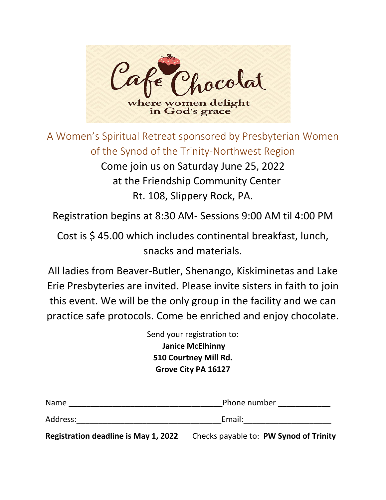

A Women's Spiritual Retreat sponsored by Presbyterian Women of the Synod of the Trinity-Northwest Region Come join us on Saturday June 25, 2022 at the Friendship Community Center Rt. 108, Slippery Rock, PA.

Registration begins at 8:30 AM- Sessions 9:00 AM til 4:00 PM

Cost is \$ 45.00 which includes continental breakfast, lunch, snacks and materials.

All ladies from Beaver-Butler, Shenango, Kiskiminetas and Lake Erie Presbyteries are invited. Please invite sisters in faith to join this event. We will be the only group in the facility and we can practice safe protocols. Come be enriched and enjoy chocolate.

> Send your registration to: **Janice McElhinny 510 Courtney Mill Rd. Grove City PA 16127**

| <b>Name</b>                                 | Phone number                           |
|---------------------------------------------|----------------------------------------|
| Address:                                    | Email:                                 |
| <b>Registration deadline is May 1, 2022</b> | Checks payable to: PW Synod of Trinity |